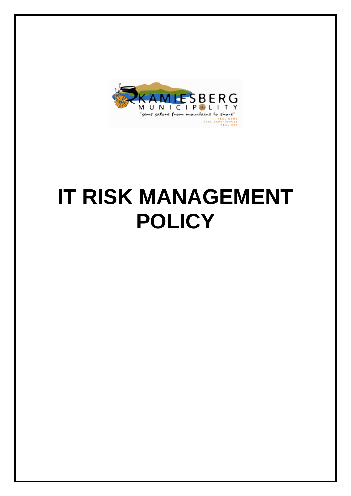

# **IT RISK MANAGEMENT POLICY**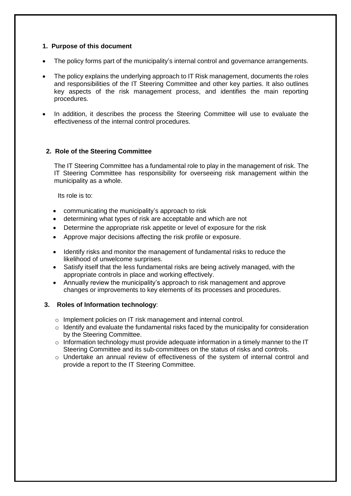#### **1. Purpose of this document**

- The policy forms part of the municipality's internal control and governance arrangements.
- The policy explains the underlying approach to IT Risk management, documents the roles and responsibilities of the IT Steering Committee and other key parties. It also outlines key aspects of the risk management process, and identifies the main reporting procedures.
- In addition, it describes the process the Steering Committee will use to evaluate the effectiveness of the internal control procedures.

#### **2. Role of the Steering Committee**

The IT Steering Committee has a fundamental role to play in the management of risk. The IT Steering Committee has responsibility for overseeing risk management within the municipality as a whole.

Its role is to:

- communicating the municipality's approach to risk
- determining what types of risk are acceptable and which are not
- Determine the appropriate risk appetite or level of exposure for the risk
- Approve major decisions affecting the risk profile or exposure.
- Identify risks and monitor the management of fundamental risks to reduce the likelihood of unwelcome surprises.
- Satisfy itself that the less fundamental risks are being actively managed, with the appropriate controls in place and working effectively.
- Annually review the municipality's approach to risk management and approve changes or improvements to key elements of its processes and procedures.

#### **3. Roles of Information technology**:

- o Implement policies on IT risk management and internal control.
- o Identify and evaluate the fundamental risks faced by the municipality for consideration by the Steering Committee.
- $\circ$  Information technology must provide adequate information in a timely manner to the IT Steering Committee and its sub-committees on the status of risks and controls.
- $\circ$  Undertake an annual review of effectiveness of the system of internal control and provide a report to the IT Steering Committee.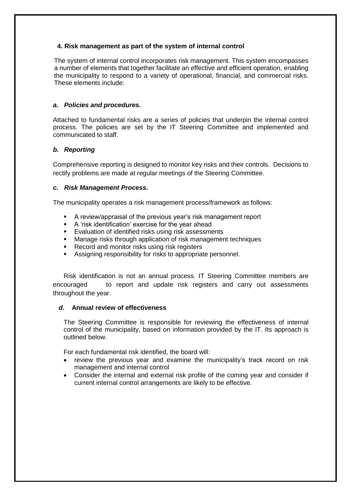#### **4. Risk management as part of the system of internal control**

The system of internal control incorporates risk management. This system encompasses a number of elements that together facilitate an effective and efficient operation, enabling the municipality to respond to a variety of operational, financial, and commercial risks. These elements include:

#### *a. Policies and procedures.*

Attached to fundamental risks are a series of policies that underpin the internal control process. The policies are set by the IT Steering Committee and implemented and communicated to staff.

#### *b. Reporting*

Comprehensive reporting is designed to monitor key risks and their controls. Decisions to rectify problems are made at regular meetings of the Steering Committee.

#### *c. Risk Management Process.*

The municipality operates a risk management process/framework as follows:

- A review/appraisal of the previous year's risk management report
- A 'risk identification' exercise for the year ahead
- Evaluation of identified risks using risk assessments
- Manage risks through application of risk management techniques
- Record and monitor risks using risk registers
- Assigning responsibility for risks to appropriate personnel.

Risk identification is not an annual process. IT Steering Committee members are encouraged to report and update risk registers and carry out assessments throughout the year.

#### *d***. Annual review of effectiveness**

The Steering Committee is responsible for reviewing the effectiveness of internal control of the municipality, based on information provided by the IT. Its approach is outlined below.

For each fundamental risk identified, the board will:

- review the previous year and examine the municipality's track record on risk management and internal control
- Consider the internal and external risk profile of the coming year and consider if current internal control arrangements are likely to be effective.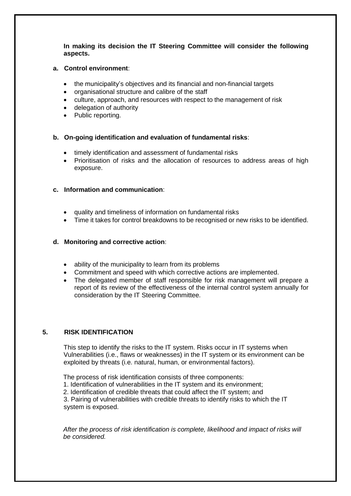**In making its decision the IT Steering Committee will consider the following aspects.**

#### **a. Control environment**:

- the municipality's objectives and its financial and non-financial targets
- organisational structure and calibre of the staff
- culture, approach, and resources with respect to the management of risk
- delegation of authority
- Public reporting.

#### **b. On-going identification and evaluation of fundamental risks**:

- timely identification and assessment of fundamental risks
- Prioritisation of risks and the allocation of resources to address areas of high exposure.

#### **c. Information and communication**:

- quality and timeliness of information on fundamental risks
- Time it takes for control breakdowns to be recognised or new risks to be identified.

#### **d. Monitoring and corrective action**:

- ability of the municipality to learn from its problems
- Commitment and speed with which corrective actions are implemented.
- The delegated member of staff responsible for risk management will prepare a report of its review of the effectiveness of the internal control system annually for consideration by the IT Steering Committee.

#### **5. RISK IDENTIFICATION**

This step to identify the risks to the IT system. Risks occur in IT systems when Vulnerabilities (i.e., flaws or weaknesses) in the IT system or its environment can be exploited by threats (i.e. natural, human, or environmental factors).

The process of risk identification consists of three components:

1. Identification of vulnerabilities in the IT system and its environment;

2. Identification of credible threats that could affect the IT system; and

3. Pairing of vulnerabilities with credible threats to identify risks to which the IT system is exposed.

*After the process of risk identification is complete, likelihood and impact of risks will be considered.*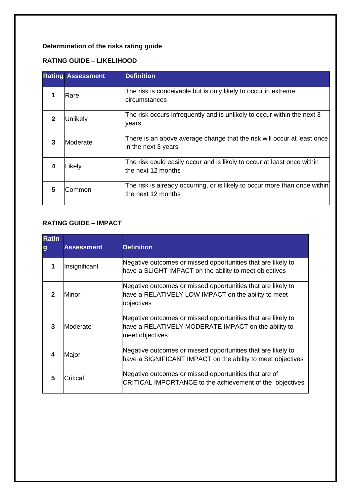# **Determination of the risks rating guide**

## **RATING GUIDE – LIKELIHOOD**

|   | <b>Rating Assessment</b> | <b>Definition</b>                                                                                 |
|---|--------------------------|---------------------------------------------------------------------------------------------------|
|   | Rare                     | The risk is conceivable but is only likely to occur in extreme<br>circumstances                   |
| 2 | Unlikely                 | The risk occurs infrequently and is unlikely to occur within the next 3<br>vears                  |
| 3 | Moderate                 | There is an above average change that the risk will occur at least once<br>in the next 3 years    |
| 4 | Likely                   | The risk could easily occur and is likely to occur at least once within<br>the next 12 months     |
| 5 | Common                   | The risk is already occurring, or is likely to occur more than once within<br>lthe next 12 months |

## **RATING GUIDE – IMPACT**

| <b>Ratin</b><br>g | <b>Assessment</b> | <b>Definition</b>                                                                                                                      |
|-------------------|-------------------|----------------------------------------------------------------------------------------------------------------------------------------|
|                   | Insignificant     | Negative outcomes or missed opportunities that are likely to<br>have a SLIGHT IMPACT on the ability to meet objectives                 |
| 2                 | Minor             | Negative outcomes or missed opportunities that are likely to<br>have a RELATIVELY LOW IMPACT on the ability to meet<br>objectives      |
| 3                 | Moderate          | Negative outcomes or missed opportunities that are likely to<br>have a RELATIVELY MODERATE IMPACT on the ability to<br>meet objectives |
| 4                 | Major             | Negative outcomes or missed opportunities that are likely to<br>have a SIGNIFICANT IMPACT on the ability to meet objectives            |
| 5                 | <b>Critical</b>   | Negative outcomes or missed opportunities that are of<br>CRITICAL IMPORTANCE to the achievement of the objectives                      |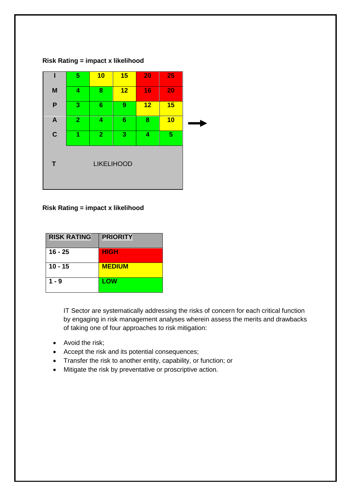#### **Risk Rating = impact x likelihood**



#### **Risk Rating = impact x likelihood**

| <b>RISK RATING</b> | <b>PRIORITY</b> |
|--------------------|-----------------|
| $16 - 25$          | <b>HIGH</b>     |
| 10 - 15            | <b>MEDIUM</b>   |
| $1 - 9$            | LOW             |

IT Sector are systematically addressing the risks of concern for each critical function by engaging in risk management analyses wherein assess the merits and drawbacks of taking one of four approaches to risk mitigation:

- Avoid the risk;
- Accept the risk and its potential consequences;
- Transfer the risk to another entity, capability, or function; or
- Mitigate the risk by preventative or proscriptive action.